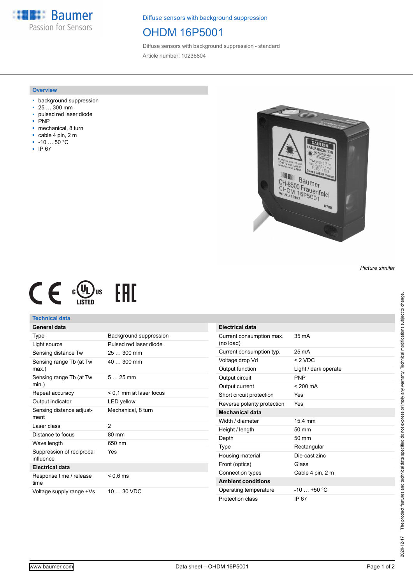**Baumer** Passion for Sensors

Diffuse sensors with background suppression

### OHDM 16P5001

Diffuse sensors with background suppression - standard Article number: 10236804

#### **Overview**

- background suppression
- 25 … 300 mm
- pulsed red laser diode
- PNP
- mechanical, 8 turn
- cable 4 pin, 2 m
- -10 … 50 °C
- IP 67



 $C \in \mathbb{C}^{(U_L)_{\text{US}}}$ **EAC** 

### **Technical data**

# **General data**

| Type                                   | Background suppression  |
|----------------------------------------|-------------------------|
| Light source                           | Pulsed red laser diode  |
| Sensing distance Tw                    | 25  300 mm              |
| Sensing range Tb (at Tw<br>max.)       | 40  300 mm              |
| Sensing range Tb (at Tw<br>$min.$ )    | $525$ mm                |
| Repeat accuracy                        | < 0.1 mm at laser focus |
| Output indicator                       | <b>LED</b> yellow       |
| Sensing distance adjust-<br>ment       | Mechanical, 8 turn      |
| Laser class                            | 2                       |
| Distance to focus                      | 80 mm                   |
| Wave length                            | 650 nm                  |
|                                        |                         |
| Suppression of reciprocal<br>influence | Yes                     |
| <b>Electrical data</b>                 |                         |
| Response time / release<br>time        | $< 0.6$ ms              |

| <b>Electrical data</b>                |                      |
|---------------------------------------|----------------------|
| Current consumption max.<br>(no load) | $35 \text{ mA}$      |
| Current consumption typ.              | 25 mA                |
| Voltage drop Vd                       | $<$ 2 VDC            |
| Output function                       | Light / dark operate |
| Output circuit                        | <b>PNP</b>           |
| Output current                        | $< 200 \text{ mA}$   |
| Short circuit protection              | Yes                  |
| Reverse polarity protection           | Yes                  |
| <b>Mechanical data</b>                |                      |
| Width / diameter                      | 15.4 mm              |
| Height / length                       | 50 mm                |
| Depth                                 | $50 \text{ mm}$      |
| Type                                  | Rectangular          |
| Housing material                      | Die-cast zinc        |
| Front (optics)                        | Glass                |
| Connection types                      | Cable 4 pin, 2 m     |
| <b>Ambient conditions</b>             |                      |
| Operating temperature                 | $-10 - +50 °C$       |
| Protection class                      | IP 67                |

*Picture similar*

2020-12-17